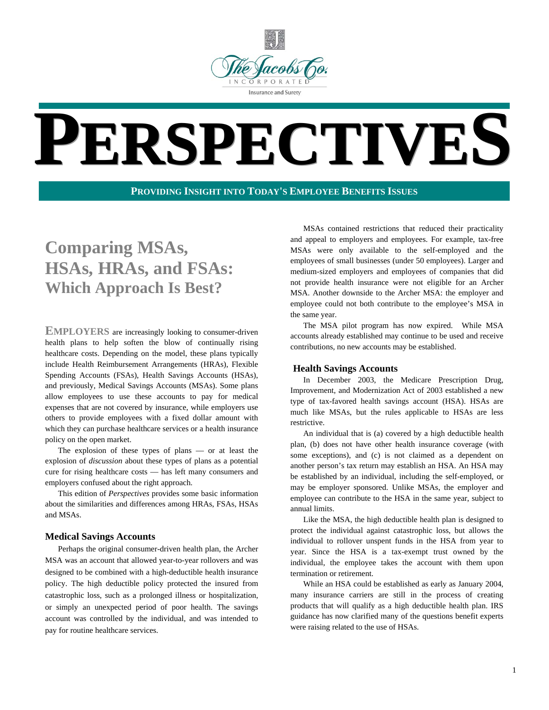

# **PERSPECTIVES**

#### **PROVIDING INSIGHT INTO TODAY'S EMPLOYEE BENEFITS ISSUES**

### **Comparing MSAs, HSAs, HRAs, and FSAs: Which Approach Is Best?**

**EMPLOYERS** are increasingly looking to consumer-driven health plans to help soften the blow of continually rising healthcare costs. Depending on the model, these plans typically include Health Reimbursement Arrangements (HRAs), Flexible Spending Accounts (FSAs), Health Savings Accounts (HSAs), and previously, Medical Savings Accounts (MSAs). Some plans allow employees to use these accounts to pay for medical expenses that are not covered by insurance, while employers use others to provide employees with a fixed dollar amount with which they can purchase healthcare services or a health insurance policy on the open market.

The explosion of these types of plans — or at least the explosion of *discussion* about these types of plans as a potential cure for rising healthcare costs — has left many consumers and employers confused about the right approach.

This edition of *Perspectives* provides some basic information about the similarities and differences among HRAs, FSAs, HSAs and MSAs.

#### **Medical Savings Accounts**

Perhaps the original consumer-driven health plan, the Archer MSA was an account that allowed year-to-year rollovers and was designed to be combined with a high-deductible health insurance policy. The high deductible policy protected the insured from catastrophic loss, such as a prolonged illness or hospitalization, or simply an unexpected period of poor health. The savings account was controlled by the individual, and was intended to pay for routine healthcare services.

MSAs contained restrictions that reduced their practicality and appeal to employers and employees. For example, tax-free MSAs were only available to the self-employed and the employees of small businesses (under 50 employees). Larger and medium-sized employers and employees of companies that did not provide health insurance were not eligible for an Archer MSA. Another downside to the Archer MSA: the employer and employee could not both contribute to the employee's MSA in the same year.

The MSA pilot program has now expired. While MSA accounts already established may continue to be used and receive contributions, no new accounts may be established.

#### **Health Savings Accounts**

In December 2003, the Medicare Prescription Drug, Improvement, and Modernization Act of 2003 established a new type of tax-favored health savings account (HSA). HSAs are much like MSAs, but the rules applicable to HSAs are less restrictive.

An individual that is (a) covered by a high deductible health plan, (b) does not have other health insurance coverage (with some exceptions), and (c) is not claimed as a dependent on another person's tax return may establish an HSA. An HSA may be established by an individual, including the self-employed, or may be employer sponsored. Unlike MSAs, the employer and employee can contribute to the HSA in the same year, subject to annual limits.

Like the MSA, the high deductible health plan is designed to protect the individual against catastrophic loss, but allows the individual to rollover unspent funds in the HSA from year to year. Since the HSA is a tax-exempt trust owned by the individual, the employee takes the account with them upon termination or retirement.

While an HSA could be established as early as January 2004, many insurance carriers are still in the process of creating products that will qualify as a high deductible health plan. IRS guidance has now clarified many of the questions benefit experts were raising related to the use of HSAs.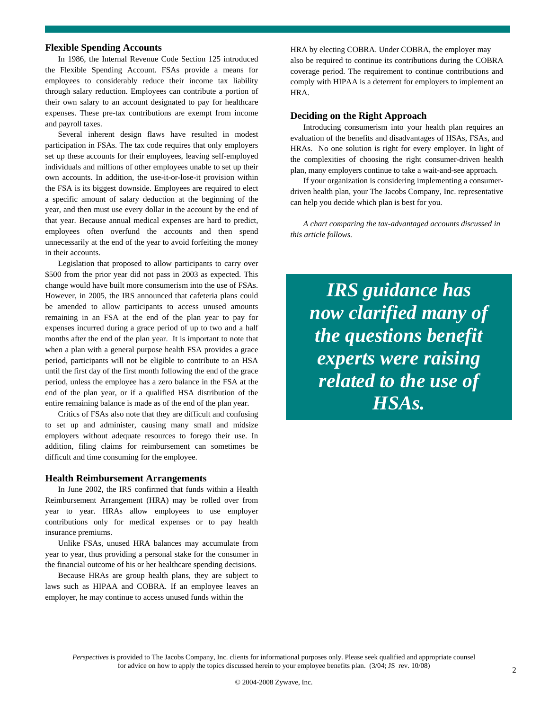#### **Flexible Spending Accounts**

In 1986, the Internal Revenue Code Section 125 introduced the Flexible Spending Account. FSAs provide a means for employees to considerably reduce their income tax liability through salary reduction. Employees can contribute a portion of their own salary to an account designated to pay for healthcare expenses. These pre-tax contributions are exempt from income and payroll taxes.

Several inherent design flaws have resulted in modest participation in FSAs. The tax code requires that only employers set up these accounts for their employees, leaving self-employed individuals and millions of other employees unable to set up their own accounts. In addition, the use-it-or-lose-it provision within the FSA is its biggest downside. Employees are required to elect a specific amount of salary deduction at the beginning of the year, and then must use every dollar in the account by the end of that year. Because annual medical expenses are hard to predict, employees often overfund the accounts and then spend unnecessarily at the end of the year to avoid forfeiting the money in their accounts.

Legislation that proposed to allow participants to carry over \$500 from the prior year did not pass in 2003 as expected. This change would have built more consumerism into the use of FSAs. However, in 2005, the IRS announced that cafeteria plans could be amended to allow participants to access unused amounts remaining in an FSA at the end of the plan year to pay for expenses incurred during a grace period of up to two and a half months after the end of the plan year. It is important to note that when a plan with a general purpose health FSA provides a grace period, participants will not be eligible to contribute to an HSA until the first day of the first month following the end of the grace period, unless the employee has a zero balance in the FSA at the end of the plan year, or if a qualified HSA distribution of the entire remaining balance is made as of the end of the plan year.

Critics of FSAs also note that they are difficult and confusing to set up and administer, causing many small and midsize employers without adequate resources to forego their use. In addition, filing claims for reimbursement can sometimes be difficult and time consuming for the employee.

#### **Health Reimbursement Arrangements**

In June 2002, the IRS confirmed that funds within a Health Reimbursement Arrangement (HRA) may be rolled over from year to year. HRAs allow employees to use employer contributions only for medical expenses or to pay health insurance premiums.

Unlike FSAs, unused HRA balances may accumulate from year to year, thus providing a personal stake for the consumer in the financial outcome of his or her healthcare spending decisions.

Because HRAs are group health plans, they are subject to laws such as HIPAA and COBRA. If an employee leaves an employer, he may continue to access unused funds within the

HRA by electing COBRA. Under COBRA, the employer may also be required to continue its contributions during the COBRA coverage period. The requirement to continue contributions and comply with HIPAA is a deterrent for employers to implement an HRA.

#### **Deciding on the Right Approach**

Introducing consumerism into your health plan requires an evaluation of the benefits and disadvantages of HSAs, FSAs, and HRAs. No one solution is right for every employer. In light of the complexities of choosing the right consumer-driven health plan, many employers continue to take a wait-and-see approach.

If your organization is considering implementing a consumerdriven health plan, your The Jacobs Company, Inc. representative can help you decide which plan is best for you.

*A chart comparing the tax-advantaged accounts discussed in this article follows.*

*IRS guidance has now clarified many of the questions benefit experts were raising related to the use of HSAs.*

*Perspectives* is provided to The Jacobs Company, Inc. clients for informational purposes only. Please seek qualified and appropriate counsel for advice on how to apply the topics discussed herein to your employee benefits plan. (3/04; JS rev. 10/08)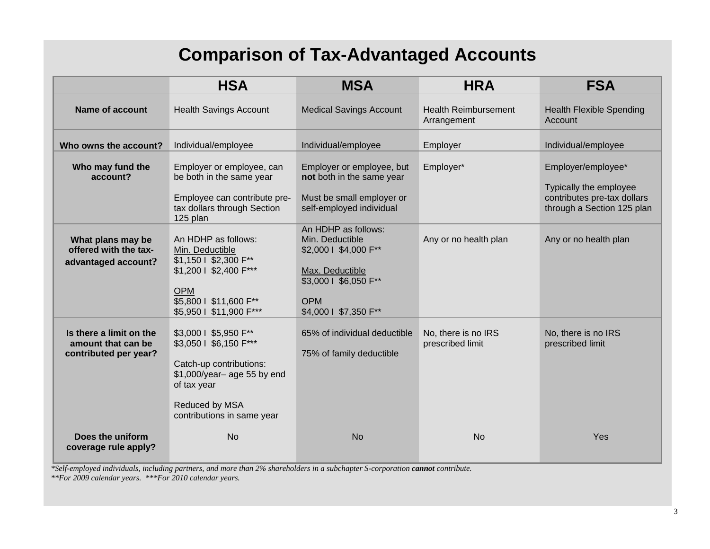## **Comparison of Tax-Advantaged Accounts**

|                                                                        | <b>HSA</b>                                                                                                                                                              | <b>MSA</b>                                                                                                                                         | <b>HRA</b>                                 | <b>FSA</b>                                                                                                |
|------------------------------------------------------------------------|-------------------------------------------------------------------------------------------------------------------------------------------------------------------------|----------------------------------------------------------------------------------------------------------------------------------------------------|--------------------------------------------|-----------------------------------------------------------------------------------------------------------|
| <b>Name of account</b>                                                 | <b>Health Savings Account</b>                                                                                                                                           | <b>Medical Savings Account</b>                                                                                                                     | <b>Health Reimbursement</b><br>Arrangement | <b>Health Flexible Spending</b><br>Account                                                                |
| Who owns the account?                                                  | Individual/employee                                                                                                                                                     | Individual/employee                                                                                                                                | Employer                                   | Individual/employee                                                                                       |
| Who may fund the<br>account?                                           | Employer or employee, can<br>be both in the same year<br>Employee can contribute pre-<br>tax dollars through Section<br>125 plan                                        | Employer or employee, but<br>not both in the same year<br>Must be small employer or<br>self-employed individual                                    | Employer*                                  | Employer/employee*<br>Typically the employee<br>contributes pre-tax dollars<br>through a Section 125 plan |
| What plans may be<br>offered with the tax-<br>advantaged account?      | An HDHP as follows:<br>Min. Deductible<br>\$1,150   \$2,300 F**<br>\$1,200   \$2,400 F***<br><b>OPM</b><br>\$5,800   \$11,600 F**<br>\$5,950   \$11,900 F***            | An HDHP as follows:<br>Min. Deductible<br>\$2,000   \$4,000 F**<br>Max. Deductible<br>\$3,000   \$6,050 F**<br><b>OPM</b><br>\$4,000   \$7,350 F** | Any or no health plan                      | Any or no health plan                                                                                     |
| Is there a limit on the<br>amount that can be<br>contributed per year? | \$3,000   \$5,950 F**<br>\$3,050   \$6,150 F***<br>Catch-up contributions:<br>\$1,000/year-age 55 by end<br>of tax year<br>Reduced by MSA<br>contributions in same year | 65% of individual deductible<br>75% of family deductible                                                                                           | No, there is no IRS<br>prescribed limit    | No, there is no IRS<br>prescribed limit                                                                   |
| Does the uniform<br>coverage rule apply?                               | <b>No</b>                                                                                                                                                               | <b>No</b>                                                                                                                                          | <b>No</b>                                  | Yes                                                                                                       |

*\*Self-employed individuals, including partners, and more than 2% shareholders in a subchapter S-corporation cannot contribute.* 

*\*\*For 2009 calendar years. \*\*\*For 2010 calendar years.*